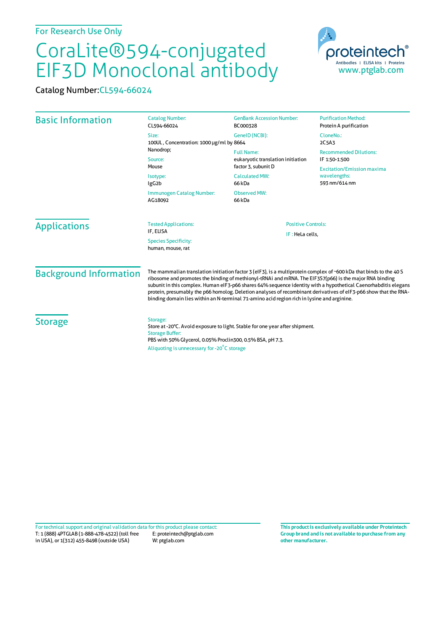## CoraLite®594-conjugated EIF3D Monoclonal antibody

Catalog Number:CL594-66024

| <b>Basic Information</b>      | <b>Catalog Number:</b><br>CL594-66024                                                                                                                                                                                                                                                                                                                                                                                                                                                                                                                              | <b>GenBank Accession Number:</b><br>BC000328                                                                     | <b>Purification Method:</b><br>Protein A purification                                                                |
|-------------------------------|--------------------------------------------------------------------------------------------------------------------------------------------------------------------------------------------------------------------------------------------------------------------------------------------------------------------------------------------------------------------------------------------------------------------------------------------------------------------------------------------------------------------------------------------------------------------|------------------------------------------------------------------------------------------------------------------|----------------------------------------------------------------------------------------------------------------------|
|                               | Size:<br>100UL, Concentration: 1000 µg/ml by 8664                                                                                                                                                                                                                                                                                                                                                                                                                                                                                                                  | GeneID (NCBI):                                                                                                   | CloneNo.:<br>2C5A3                                                                                                   |
|                               | Nanodrop;<br>Source:<br>Mouse<br>Isotype:<br>lgG <sub>2</sub> b                                                                                                                                                                                                                                                                                                                                                                                                                                                                                                    | <b>Full Name:</b><br>eukaryotic translation initiation<br>factor 3, subunit D<br><b>Calculated MW:</b><br>66 kDa | <b>Recommended Dilutions:</b><br>IF 1:50-1:500<br><b>Excitation/Emission maxima</b><br>wavelengths:<br>593 nm/614 nm |
|                               | Immunogen Catalog Number:<br>AG18092                                                                                                                                                                                                                                                                                                                                                                                                                                                                                                                               | <b>Observed MW:</b><br>66 kDa                                                                                    |                                                                                                                      |
| <b>Applications</b>           | <b>Tested Applications:</b><br>IF, ELISA<br><b>Species Specificity:</b><br>human, mouse, rat                                                                                                                                                                                                                                                                                                                                                                                                                                                                       | <b>Positive Controls:</b><br>IF: HeLa cells,                                                                     |                                                                                                                      |
| <b>Background Information</b> | The mammalian translation initiation factor 3 (eIF3), is a multiprotein complex of ~600 kDa that binds to the 40 S<br>ribosome and promotes the binding of methionyl-tRNAi and mRNA. The EIF3S7(p66) is the major RNA binding<br>subunit in this complex. Human eIF3-p66 shares 64% sequence identity with a hypothetical Caenorhabditis elegans<br>protein, presumably the p66 homolog. Deletion analyses of recombinant derivatives of eIF3-p66 show that the RNA-<br>binding domain lies within an N-terminal 71-amino acid region rich in lysine and arginine. |                                                                                                                  |                                                                                                                      |
| <b>Storage</b>                | Storage:<br>Store at -20°C. Avoid exposure to light. Stable for one year after shipment.<br><b>Storage Buffer:</b><br>PBS with 50% Glycerol, 0.05% Proclin300, 0.5% BSA, pH 7.3.<br>Aliquoting is unnecessary for -20°C storage                                                                                                                                                                                                                                                                                                                                    |                                                                                                                  |                                                                                                                      |

T: 1 (888) 4PTGLAB (1-888-478-4522) (toll free in USA), or 1(312) 455-8498 (outside USA) E: proteintech@ptglab.com W: ptglab.com Fortechnical support and original validation data forthis product please contact: **This productis exclusively available under Proteintech**

**Group brand and is not available to purchase from any other manufacturer.**